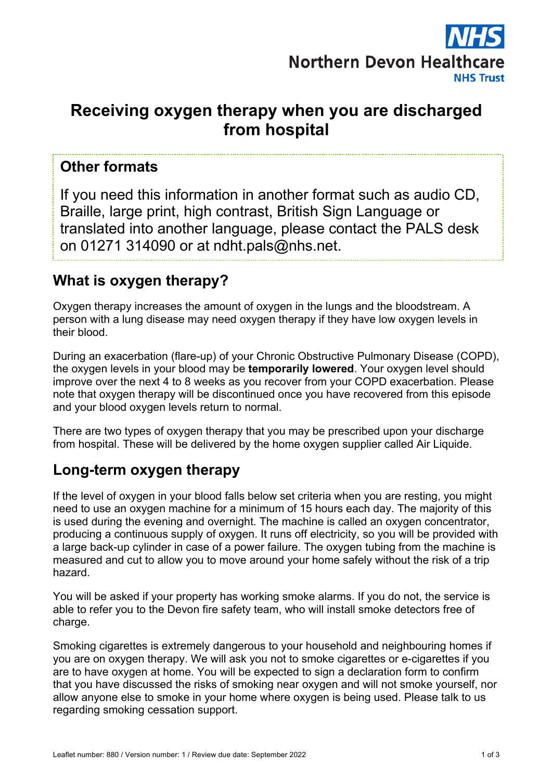

# **Receiving oxygen therapy when you are discharged from hospital**

#### **Other formats**

If you need this information in another format such as audio CD, Braille, large print, high contrast, British Sign Language or translated into another language, please contact the PALS desk on 01271 314090 or at ndht.pals@nhs.net.

### **What is oxygen therapy?**

Oxygen therapy increases the amount of oxygen in the lungs and the bloodstream. A person with a lung disease may need oxygen therapy if they have low oxygen levels in their blood.

During an exacerbation (flare-up) of your Chronic Obstructive Pulmonary Disease (COPD), the oxygen levels in your blood may be **temporarily lowered**. Your oxygen level should improve over the next 4 to 8 weeks as you recover from your COPD exacerbation. Please note that oxygen therapy will be discontinued once you have recovered from this episode and your blood oxygen levels return to normal.

There are two types of oxygen therapy that you may be prescribed upon your discharge from hospital. These will be delivered by the home oxygen supplier called Air Liquide.

#### **Long-term oxygen therapy**

If the level of oxygen in your blood falls below set criteria when you are resting, you might need to use an oxygen machine for a minimum of 15 hours each day. The majority of this is used during the evening and overnight. The machine is called an oxygen concentrator, producing a continuous supply of oxygen. It runs off electricity, so you will be provided with a large back-up cylinder in case of a power failure. The oxygen tubing from the machine is measured and cut to allow you to move around your home safely without the risk of a trip hazard.

You will be asked if your property has working smoke alarms. If you do not, the service is able to refer you to the Devon fire safety team, who will install smoke detectors free of charge.

Smoking cigarettes is extremely dangerous to your household and neighbouring homes if you are on oxygen therapy. We will ask you not to smoke cigarettes or e-cigarettes if you are to have oxygen at home. You will be expected to sign a declaration form to confirm that you have discussed the risks of smoking near oxygen and will not smoke yourself, nor allow anyone else to smoke in your home where oxygen is being used. Please talk to us regarding smoking cessation support.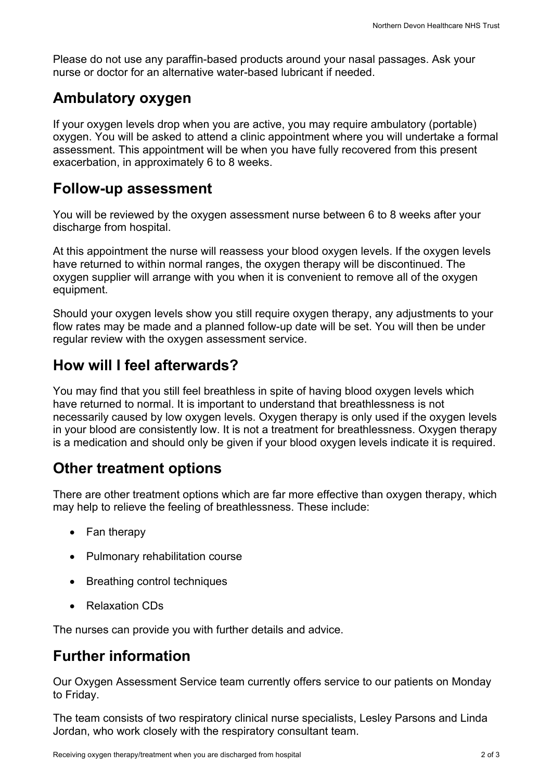Please do not use any paraffin-based products around your nasal passages. Ask your nurse or doctor for an alternative water-based lubricant if needed.

#### **Ambulatory oxygen**

If your oxygen levels drop when you are active, you may require ambulatory (portable) oxygen. You will be asked to attend a clinic appointment where you will undertake a formal assessment. This appointment will be when you have fully recovered from this present exacerbation, in approximately 6 to 8 weeks.

#### **Follow-up assessment**

You will be reviewed by the oxygen assessment nurse between 6 to 8 weeks after your discharge from hospital.

At this appointment the nurse will reassess your blood oxygen levels. If the oxygen levels have returned to within normal ranges, the oxygen therapy will be discontinued. The oxygen supplier will arrange with you when it is convenient to remove all of the oxygen equipment.

Should your oxygen levels show you still require oxygen therapy, any adjustments to your flow rates may be made and a planned follow-up date will be set. You will then be under regular review with the oxygen assessment service.

### **How will I feel afterwards?**

You may find that you still feel breathless in spite of having blood oxygen levels which have returned to normal. It is important to understand that breathlessness is not necessarily caused by low oxygen levels. Oxygen therapy is only used if the oxygen levels in your blood are consistently low. It is not a treatment for breathlessness. Oxygen therapy is a medication and should only be given if your blood oxygen levels indicate it is required.

## **Other treatment options**

There are other treatment options which are far more effective than oxygen therapy, which may help to relieve the feeling of breathlessness. These include:

- Fan therapy
- Pulmonary rehabilitation course
- Breathing control techniques
- Relaxation CDs

The nurses can provide you with further details and advice.

## **Further information**

Our Oxygen Assessment Service team currently offers service to our patients on Monday to Friday.

The team consists of two respiratory clinical nurse specialists, Lesley Parsons and Linda Jordan, who work closely with the respiratory consultant team.